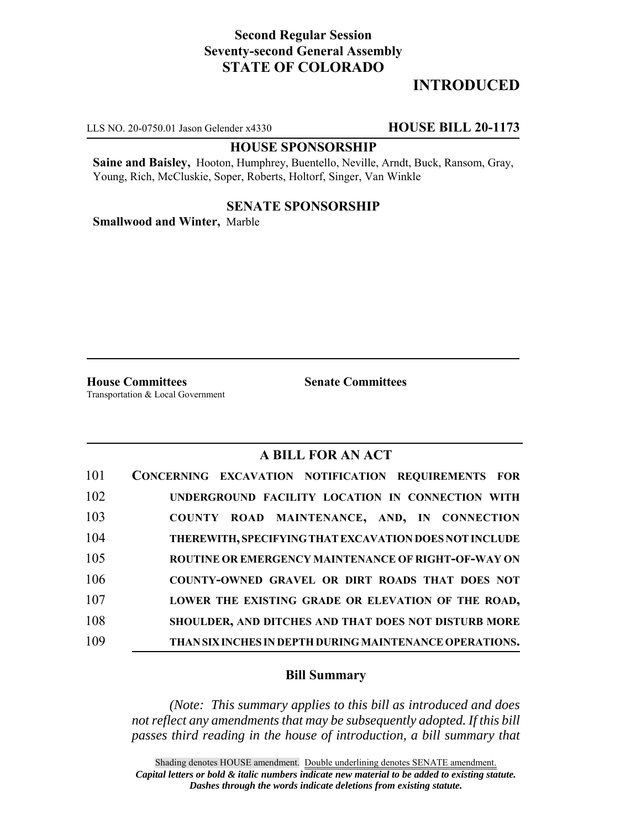## **Second Regular Session Seventy-second General Assembly STATE OF COLORADO**

# **INTRODUCED**

LLS NO. 20-0750.01 Jason Gelender x4330 **HOUSE BILL 20-1173**

### **HOUSE SPONSORSHIP**

**Saine and Baisley,** Hooton, Humphrey, Buentello, Neville, Arndt, Buck, Ransom, Gray, Young, Rich, McCluskie, Soper, Roberts, Holtorf, Singer, Van Winkle

### **SENATE SPONSORSHIP**

**Smallwood and Winter,** Marble

**House Committees Senate Committees** Transportation & Local Government

## **A BILL FOR AN ACT**

| 101 | <b>CONCERNING EXCAVATION NOTIFICATION REQUIREMENTS FOR</b>  |
|-----|-------------------------------------------------------------|
| 102 | UNDERGROUND FACILITY LOCATION IN CONNECTION WITH            |
| 103 | COUNTY ROAD MAINTENANCE, AND, IN CONNECTION                 |
| 104 | THEREWITH, SPECIFYING THAT EXCAVATION DOES NOT INCLUDE      |
| 105 | ROUTINE OR EMERGENCY MAINTENANCE OF RIGHT-OF-WAY ON         |
| 106 | COUNTY-OWNED GRAVEL OR DIRT ROADS THAT DOES NOT             |
| 107 | LOWER THE EXISTING GRADE OR ELEVATION OF THE ROAD,          |
| 108 | <b>SHOULDER, AND DITCHES AND THAT DOES NOT DISTURB MORE</b> |
| 109 | THAN SIX INCHES IN DEPTH DURING MAINTENANCE OPERATIONS.     |

#### **Bill Summary**

*(Note: This summary applies to this bill as introduced and does not reflect any amendments that may be subsequently adopted. If this bill passes third reading in the house of introduction, a bill summary that*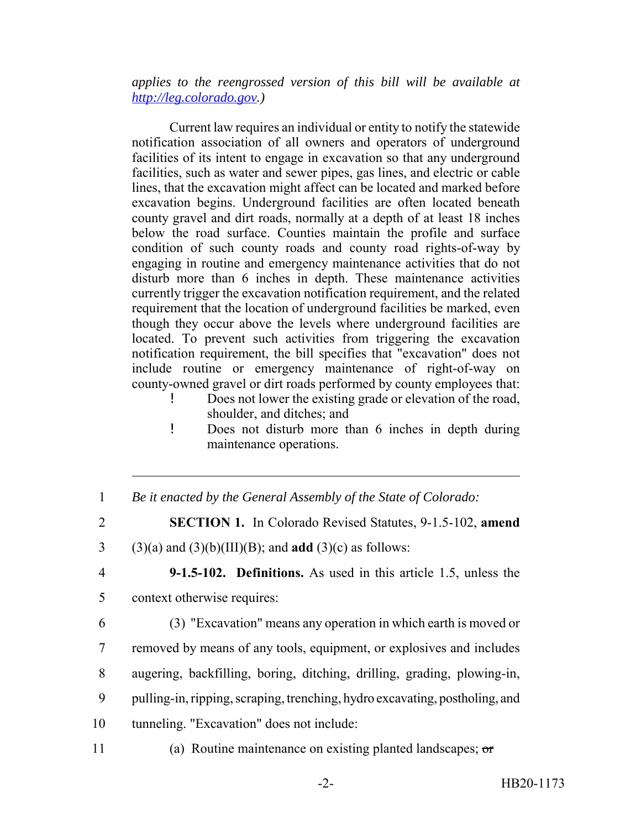*applies to the reengrossed version of this bill will be available at http://leg.colorado.gov.)*

Current law requires an individual or entity to notify the statewide notification association of all owners and operators of underground facilities of its intent to engage in excavation so that any underground facilities, such as water and sewer pipes, gas lines, and electric or cable lines, that the excavation might affect can be located and marked before excavation begins. Underground facilities are often located beneath county gravel and dirt roads, normally at a depth of at least 18 inches below the road surface. Counties maintain the profile and surface condition of such county roads and county road rights-of-way by engaging in routine and emergency maintenance activities that do not disturb more than 6 inches in depth. These maintenance activities currently trigger the excavation notification requirement, and the related requirement that the location of underground facilities be marked, even though they occur above the levels where underground facilities are located. To prevent such activities from triggering the excavation notification requirement, the bill specifies that "excavation" does not include routine or emergency maintenance of right-of-way on county-owned gravel or dirt roads performed by county employees that:

- ! Does not lower the existing grade or elevation of the road, shoulder, and ditches; and
- ! Does not disturb more than 6 inches in depth during maintenance operations.
- 1 *Be it enacted by the General Assembly of the State of Colorado:*
- 2 **SECTION 1.** In Colorado Revised Statutes, 9-1.5-102, **amend**
- 3 (3)(a) and (3)(b)(III)(B); and **add** (3)(c) as follows:
- 

4 **9-1.5-102. Definitions.** As used in this article 1.5, unless the 5 context otherwise requires:

 (3) "Excavation" means any operation in which earth is moved or removed by means of any tools, equipment, or explosives and includes augering, backfilling, boring, ditching, drilling, grading, plowing-in, pulling-in, ripping, scraping, trenching, hydro excavating, postholing, and

- 10 tunneling. "Excavation" does not include:
- 

11 (a) Routine maintenance on existing planted landscapes; or